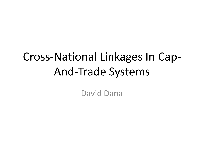### Cross-National Linkages In Cap-And-Trade Systems

David Dana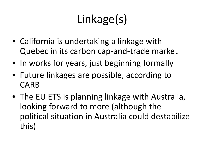# Linkage(s)

- California is undertaking a linkage with Quebec in its carbon cap-and-trade market
- In works for years, just beginning formally
- Future linkages are possible, according to CARB
- The EU ETS is planning linkage with Australia, looking forward to more (although the political situation in Australia could destabilize this)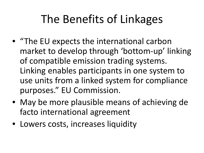### The Benefits of Linkages

- "The EU expects the international carbon market to develop through 'bottom-up' linking of compatible emission trading systems. Linking enables participants in one system to use units from a linked system for compliance purposes." EU Commission.
- May be more plausible means of achieving de facto international agreement
- Lowers costs, increases liquidity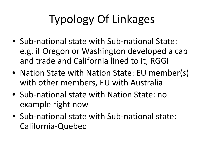# Typology Of Linkages

- Sub-national state with Sub-national State: e.g. if Oregon or Washington developed a cap and trade and California lined to it, RGGI
- Nation State with Nation State: EU member(s) with other members, EU with Australia
- Sub-national state with Nation State: no example right now
- Sub-national state with Sub-national state: California-Quebec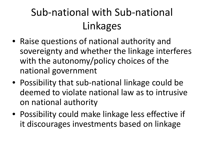### Sub-national with Sub-national Linkages

- Raise questions of national authority and sovereignty and whether the linkage interferes with the autonomy/policy choices of the national government
- Possibility that sub-national linkage could be deemed to violate national law as to intrusive on national authority
- Possibility could make linkage less effective if it discourages investments based on linkage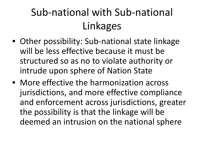### Sub-national with Sub-national Linkages

- Other possibility: Sub-national state linkage will be less effective because it must be structured so as no to violate authority or intrude upon sphere of Nation State
- More effective the harmonization across jurisdictions, and more effective compliance and enforcement across jurisdictions, greater the possibility is that the linkage will be deemed an intrusion on the national sphere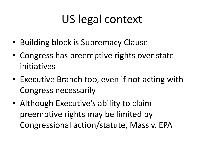## US legal context

- Building block is Supremacy Clause
- Congress has preemptive rights over state initiatives
- Executive Branch too, even if not acting with Congress necessarily
- Although Executive's ability to claim preemptive rights may be limited by Congressional action/statute, Mass v. EPA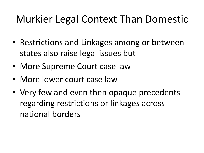#### Murkier Legal Context Than Domestic

- Restrictions and Linkages among or between states also raise legal issues but
- More Supreme Court case law
- More lower court case law
- Very few and even then opaque precedents regarding restrictions or linkages across national borders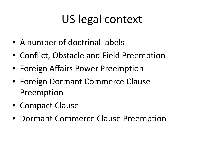## US legal context

- A number of doctrinal labels
- Conflict, Obstacle and Field Preemption
- Foreign Affairs Power Preemption
- Foreign Dormant Commerce Clause Preemption
- Compact Clause
- Dormant Commerce Clause Preemption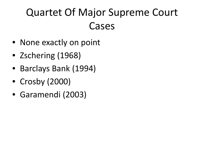### Quartet Of Major Supreme Court Cases

- None exactly on point
- Zschering (1968)
- Barclays Bank (1994)
- Crosby (2000)
- Garamendi (2003)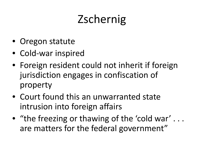## **Zschernig**

- Oregon statute
- Cold-war inspired
- Foreign resident could not inherit if foreign jurisdiction engages in confiscation of property
- Court found this an unwarranted state intrusion into foreign affairs
- "the freezing or thawing of the 'cold war' ... are matters for the federal government"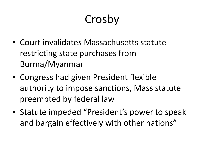## Crosby

- Court invalidates Massachusetts statute restricting state purchases from Burma/Myanmar
- Congress had given President flexible authority to impose sanctions, Mass statute preempted by federal law
- Statute impeded "President's power to speak and bargain effectively with other nations"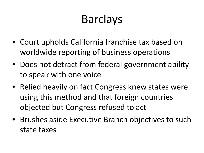## Barclays

- Court upholds California franchise tax based on worldwide reporting of business operations
- Does not detract from federal government ability to speak with one voice
- Relied heavily on fact Congress knew states were using this method and that foreign countries objected but Congress refused to act
- Brushes aside Executive Branch objectives to such state taxes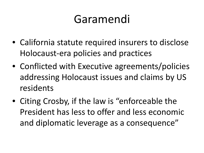### Garamendi

- California statute required insurers to disclose Holocaust-era policies and practices
- Conflicted with Executive agreements/policies addressing Holocaust issues and claims by US residents
- Citing Crosby, if the law is "enforceable the President has less to offer and less economic and diplomatic leverage as a consequence"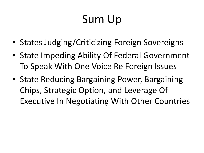## Sum Up

- States Judging/Criticizing Foreign Sovereigns
- State Impeding Ability Of Federal Government To Speak With One Voice Re Foreign Issues
- State Reducing Bargaining Power, Bargaining Chips, Strategic Option, and Leverage Of Executive In Negotiating With Other Countries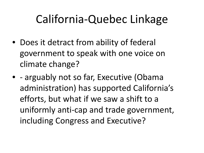### California-Quebec Linkage

- Does it detract from ability of federal government to speak with one voice on climate change?
- - arguably not so far, Executive (Obama administration) has supported California's efforts, but what if we saw a shift to a uniformly anti-cap and trade government, including Congress and Executive?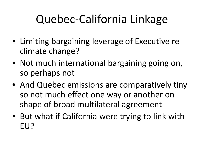## Quebec-California Linkage

- Limiting bargaining leverage of Executive re climate change?
- Not much international bargaining going on, so perhaps not
- And Quebec emissions are comparatively tiny so not much effect one way or another on shape of broad multilateral agreement
- But what if California were trying to link with EU?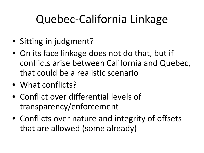## Quebec-California Linkage

- Sitting in judgment?
- On its face linkage does not do that, but if conflicts arise between California and Quebec, that could be a realistic scenario
- What conflicts?
- Conflict over differential levels of transparency/enforcement
- Conflicts over nature and integrity of offsets that are allowed (some already)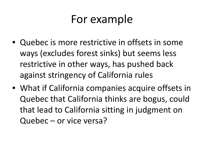#### For example

- Quebec is more restrictive in offsets in some ways (excludes forest sinks) but seems less restrictive in other ways, has pushed back against stringency of California rules
- What if California companies acquire offsets in Quebec that California thinks are bogus, could that lead to California sitting in judgment on Quebec – or vice versa?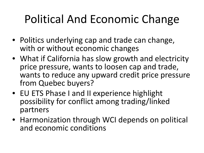## Political And Economic Change

- Politics underlying cap and trade can change, with or without economic changes
- What if California has slow growth and electricity price pressure, wants to loosen cap and trade, wants to reduce any upward credit price pressure from Quebec buyers?
- EU ETS Phase I and II experience highlight possibility for conflict among trading/linked partners
- Harmonization through WCI depends on political and economic conditions